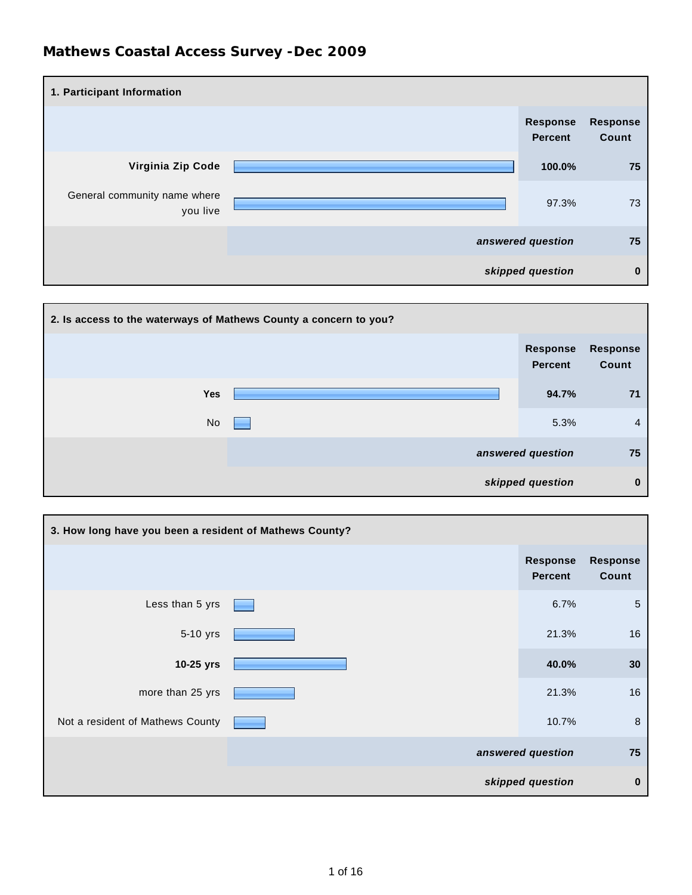| 1. Participant Information               |                                   |                          |
|------------------------------------------|-----------------------------------|--------------------------|
|                                          | <b>Response</b><br><b>Percent</b> | <b>Response</b><br>Count |
| Virginia Zip Code                        | 100.0%                            | 75                       |
| General community name where<br>you live | 97.3%                             | 73                       |
|                                          | answered question                 | 75                       |
|                                          | skipped question                  | $\bf{0}$                 |



| 3. How long have you been a resident of Mathews County? |                            |                          |
|---------------------------------------------------------|----------------------------|--------------------------|
|                                                         | Response<br><b>Percent</b> | <b>Response</b><br>Count |
| Less than 5 yrs                                         | 6.7%                       | $\sqrt{5}$               |
| 5-10 yrs                                                | 21.3%                      | 16                       |
| 10-25 yrs                                               | 40.0%                      | 30 <sub>o</sub>          |
| more than 25 yrs                                        | 21.3%                      | 16                       |
| Not a resident of Mathews County                        | 10.7%                      | 8                        |
|                                                         | answered question          | 75                       |
|                                                         | skipped question           | $\bf{0}$                 |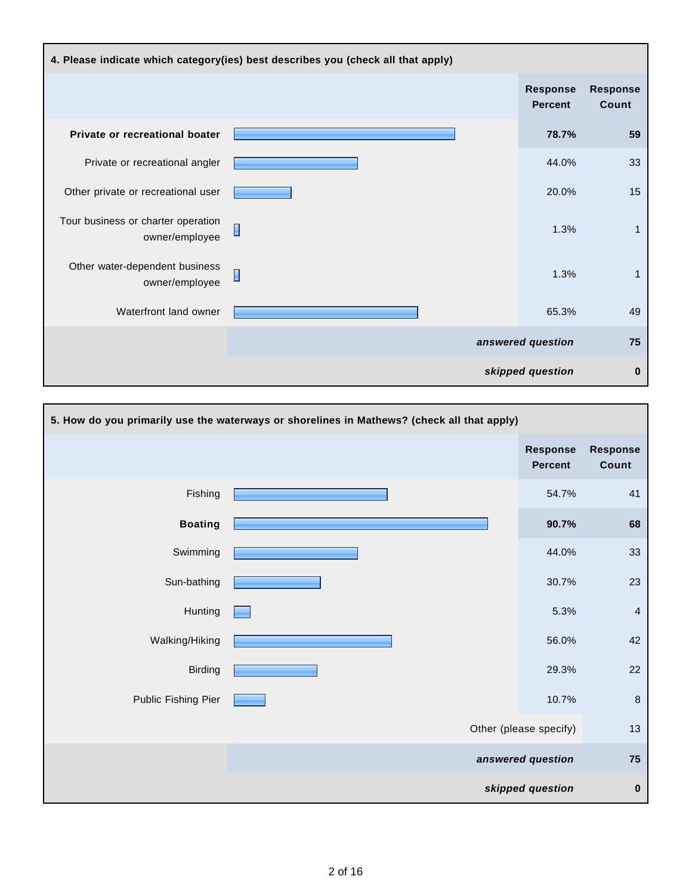| 4. Please indicate which category(ies) best describes you (check all that apply) |                |                                   |                          |
|----------------------------------------------------------------------------------|----------------|-----------------------------------|--------------------------|
|                                                                                  |                | <b>Response</b><br><b>Percent</b> | <b>Response</b><br>Count |
| Private or recreational boater                                                   |                | 78.7%                             | 59                       |
| Private or recreational angler                                                   |                | 44.0%                             | 33                       |
| Other private or recreational user                                               |                | 20.0%                             | 15                       |
| Tour business or charter operation<br>owner/employee                             | $\Box$         | 1.3%                              | $\mathbf{1}$             |
| Other water-dependent business<br>owner/employee                                 | $\blacksquare$ | 1.3%                              | $\mathbf{1}$             |
| Waterfront land owner                                                            |                | 65.3%                             | 49                       |
|                                                                                  |                | answered question                 | 75                       |
|                                                                                  |                | skipped question                  | $\bf{0}$                 |

| 5. How do you primarily use the waterways or shorelines in Mathews? (check all that apply) |  |                                   |                          |
|--------------------------------------------------------------------------------------------|--|-----------------------------------|--------------------------|
|                                                                                            |  | <b>Response</b><br><b>Percent</b> | <b>Response</b><br>Count |
| Fishing                                                                                    |  | 54.7%                             | 41                       |
| <b>Boating</b>                                                                             |  | 90.7%                             | 68                       |
| Swimming                                                                                   |  | 44.0%                             | 33                       |
| Sun-bathing                                                                                |  | 30.7%                             | 23                       |
| Hunting                                                                                    |  | 5.3%                              | $\overline{4}$           |
| Walking/Hiking                                                                             |  | 56.0%                             | 42                       |
| <b>Birding</b>                                                                             |  | 29.3%                             | 22                       |
| Public Fishing Pier                                                                        |  | 10.7%                             | $\bf 8$                  |
|                                                                                            |  | Other (please specify)            | 13                       |
|                                                                                            |  | answered question                 | 75                       |
|                                                                                            |  | skipped question                  | $\pmb{0}$                |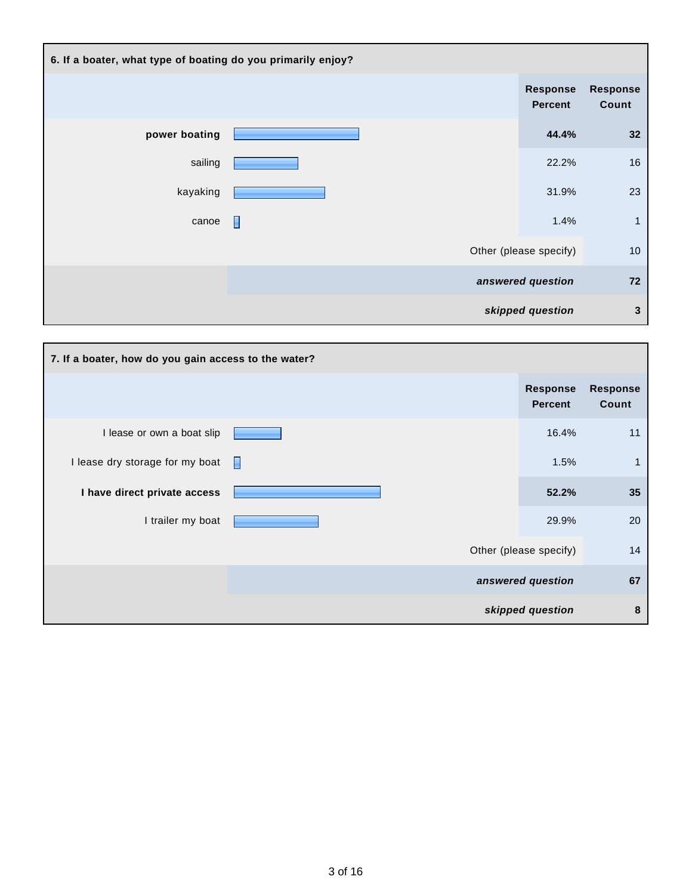| 6. If a boater, what type of boating do you primarily enjoy? |   |                                   |                          |
|--------------------------------------------------------------|---|-----------------------------------|--------------------------|
|                                                              |   | <b>Response</b><br><b>Percent</b> | <b>Response</b><br>Count |
| power boating                                                |   | 44.4%                             | 32                       |
| sailing                                                      |   | 22.2%                             | 16                       |
| kayaking                                                     |   | 31.9%                             | 23                       |
| canoe                                                        | П | 1.4%                              | $\mathbf{1}$             |
|                                                              |   | Other (please specify)            | 10                       |
|                                                              |   | answered question                 | 72                       |
|                                                              |   | skipped question                  | 3                        |

| 7. If a boater, how do you gain access to the water? |                                   |                          |
|------------------------------------------------------|-----------------------------------|--------------------------|
|                                                      | <b>Response</b><br><b>Percent</b> | <b>Response</b><br>Count |
| I lease or own a boat slip                           | 16.4%                             | 11                       |
| I lease dry storage for my boat                      | 1.5%                              | $\mathbf{1}$             |
| I have direct private access                         | 52.2%                             | 35                       |
| I trailer my boat                                    | 29.9%                             | 20                       |
|                                                      | Other (please specify)            | 14                       |
|                                                      | answered question                 | 67                       |
|                                                      | skipped question                  | 8                        |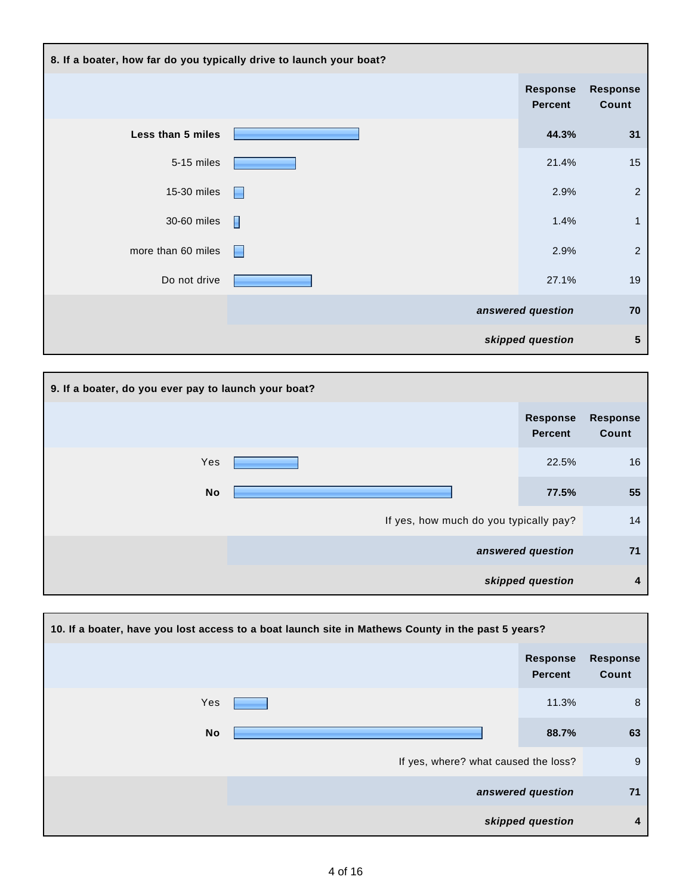| 8. If a boater, how far do you typically drive to launch your boat? |   |                            |                          |
|---------------------------------------------------------------------|---|----------------------------|--------------------------|
|                                                                     |   | Response<br><b>Percent</b> | <b>Response</b><br>Count |
| Less than 5 miles                                                   |   | 44.3%                      | 31                       |
| 5-15 miles                                                          |   | 21.4%                      | 15                       |
| 15-30 miles                                                         |   | 2.9%                       | $\sqrt{2}$               |
| 30-60 miles                                                         | Π | 1.4%                       | $\mathbf{1}$             |
| more than 60 miles                                                  | Н | 2.9%                       | $\sqrt{2}$               |
| Do not drive                                                        |   | 27.1%                      | 19                       |
|                                                                     |   | answered question          | 70                       |
|                                                                     |   | skipped question           | $5\phantom{1}$           |

| 9. If a boater, do you ever pay to launch your boat? |                                        |                                   |                          |
|------------------------------------------------------|----------------------------------------|-----------------------------------|--------------------------|
|                                                      |                                        | <b>Response</b><br><b>Percent</b> | <b>Response</b><br>Count |
| Yes                                                  |                                        | 22.5%                             | 16                       |
| <b>No</b>                                            |                                        | 77.5%                             | 55                       |
|                                                      | If yes, how much do you typically pay? |                                   | 14                       |
|                                                      |                                        | answered question                 | 71                       |
|                                                      |                                        | skipped question                  | 4                        |

| 10. If a boater, have you lost access to a boat launch site in Mathews County in the past 5 years? |                                      |                                   |                          |
|----------------------------------------------------------------------------------------------------|--------------------------------------|-----------------------------------|--------------------------|
|                                                                                                    |                                      | <b>Response</b><br><b>Percent</b> | <b>Response</b><br>Count |
| Yes                                                                                                |                                      | 11.3%                             | 8                        |
| No                                                                                                 |                                      | 88.7%                             | 63                       |
|                                                                                                    | If yes, where? what caused the loss? |                                   | 9                        |
|                                                                                                    |                                      | answered question                 | 71                       |
|                                                                                                    |                                      | skipped question                  | 4                        |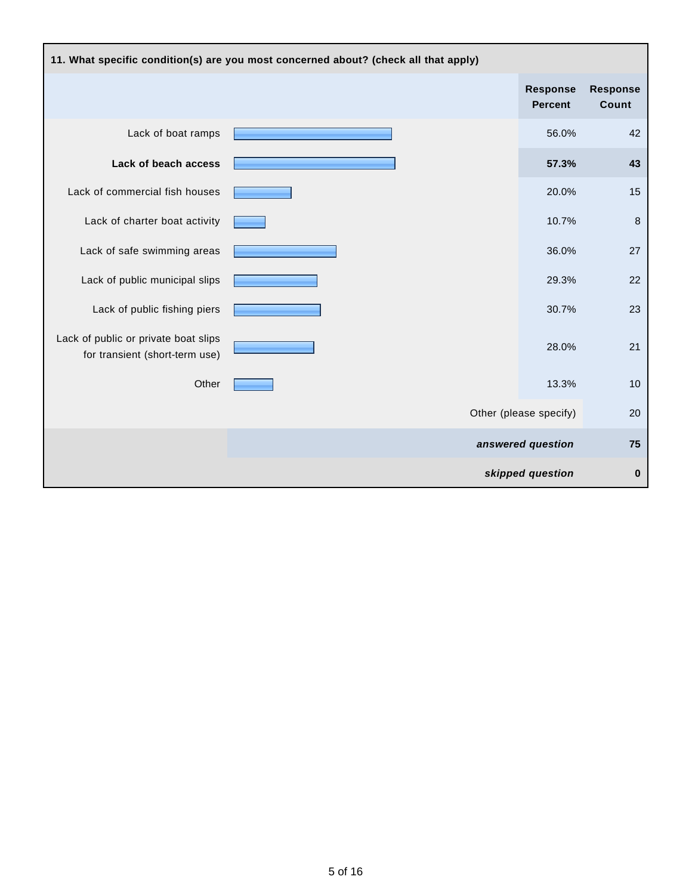| 11. What specific condition(s) are you most concerned about? (check all that apply) |  |                                   |                          |
|-------------------------------------------------------------------------------------|--|-----------------------------------|--------------------------|
|                                                                                     |  | <b>Response</b><br><b>Percent</b> | <b>Response</b><br>Count |
| Lack of boat ramps                                                                  |  | 56.0%                             | 42                       |
| Lack of beach access                                                                |  | 57.3%                             | 43                       |
| Lack of commercial fish houses                                                      |  | 20.0%                             | 15                       |
| Lack of charter boat activity                                                       |  | 10.7%                             | 8                        |
| Lack of safe swimming areas                                                         |  | 36.0%                             | 27                       |
| Lack of public municipal slips                                                      |  | 29.3%                             | 22                       |
| Lack of public fishing piers                                                        |  | 30.7%                             | 23                       |
| Lack of public or private boat slips<br>for transient (short-term use)              |  | 28.0%                             | 21                       |
| Other                                                                               |  | 13.3%                             | 10                       |
|                                                                                     |  | Other (please specify)            | 20                       |
|                                                                                     |  | answered question                 | 75                       |
|                                                                                     |  | skipped question                  | $\bf{0}$                 |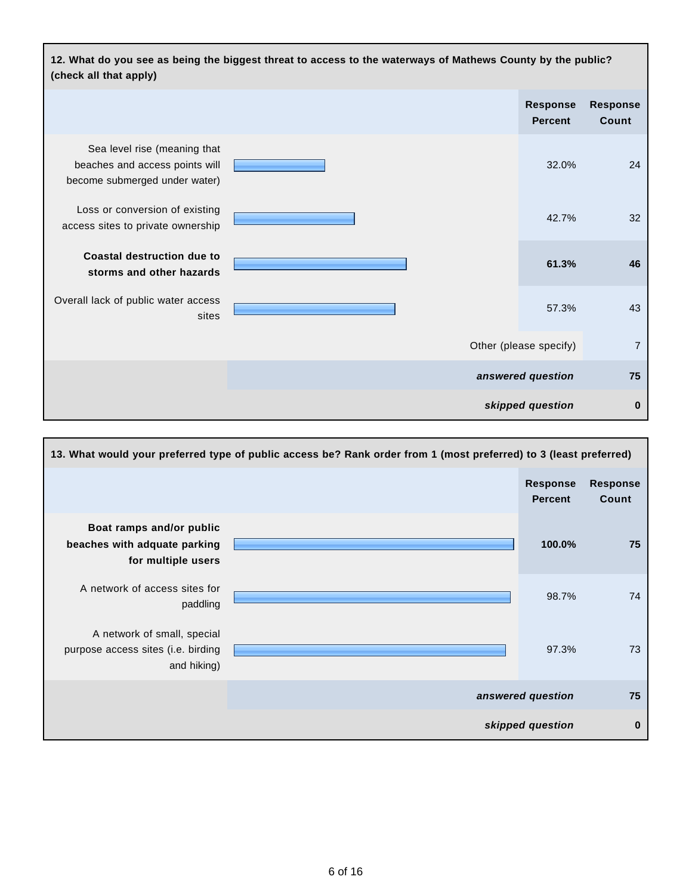

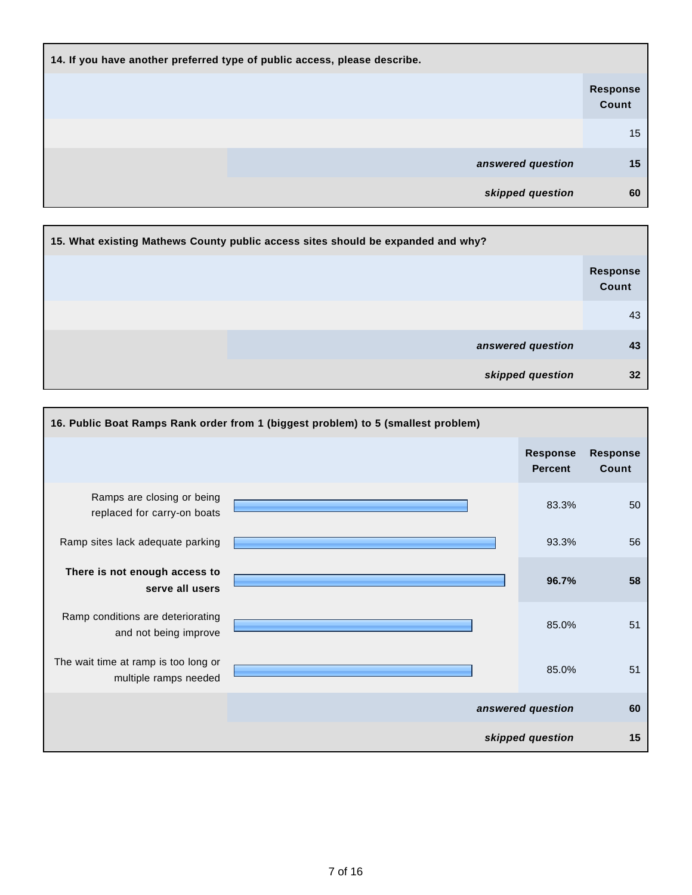| 14. If you have another preferred type of public access, please describe. |                          |
|---------------------------------------------------------------------------|--------------------------|
|                                                                           | <b>Response</b><br>Count |
|                                                                           | 15                       |
| answered question                                                         | 15                       |
| skipped question                                                          | 60                       |

| 15. What existing Mathews County public access sites should be expanded and why? |                   |                          |
|----------------------------------------------------------------------------------|-------------------|--------------------------|
|                                                                                  |                   | <b>Response</b><br>Count |
|                                                                                  |                   | 43                       |
|                                                                                  | answered question | 43                       |
|                                                                                  | skipped question  | 32                       |

|                                                               | 16. Public Boat Ramps Rank order from 1 (biggest problem) to 5 (smallest problem) |                                   |                          |
|---------------------------------------------------------------|-----------------------------------------------------------------------------------|-----------------------------------|--------------------------|
|                                                               |                                                                                   | <b>Response</b><br><b>Percent</b> | <b>Response</b><br>Count |
| Ramps are closing or being<br>replaced for carry-on boats     |                                                                                   | 83.3%                             | 50                       |
| Ramp sites lack adequate parking                              |                                                                                   | 93.3%                             | 56                       |
| There is not enough access to<br>serve all users              |                                                                                   | 96.7%                             | 58                       |
| Ramp conditions are deteriorating<br>and not being improve    |                                                                                   | 85.0%                             | 51                       |
| The wait time at ramp is too long or<br>multiple ramps needed |                                                                                   | 85.0%                             | 51                       |
|                                                               |                                                                                   | answered question                 | 60                       |
|                                                               |                                                                                   | skipped question                  | 15                       |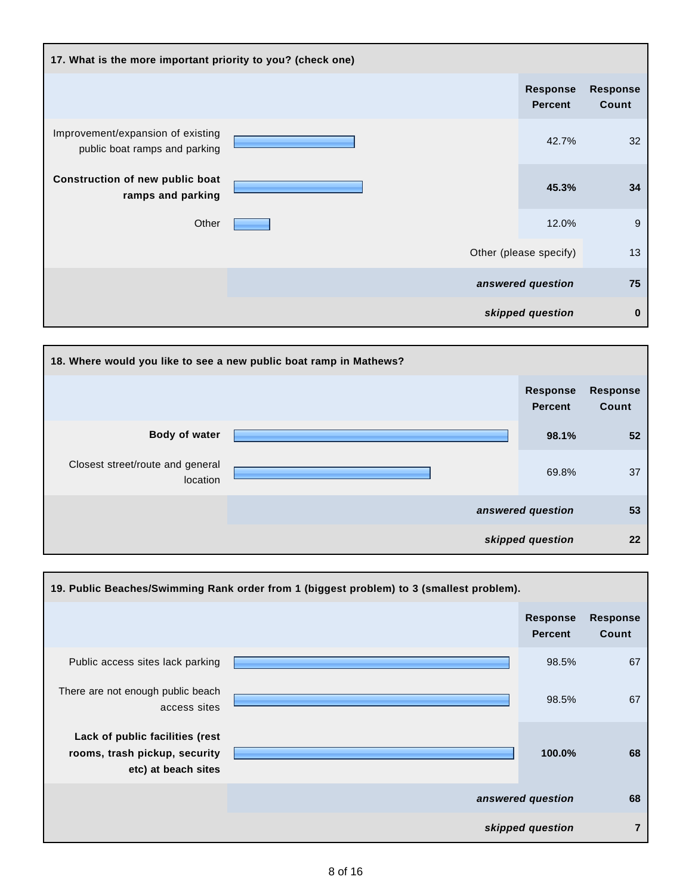| 17. What is the more important priority to you? (check one)        |  |  |                                   |                          |
|--------------------------------------------------------------------|--|--|-----------------------------------|--------------------------|
|                                                                    |  |  | <b>Response</b><br><b>Percent</b> | <b>Response</b><br>Count |
| Improvement/expansion of existing<br>public boat ramps and parking |  |  | 42.7%                             | 32                       |
| Construction of new public boat<br>ramps and parking               |  |  | 45.3%                             | 34                       |
| Other                                                              |  |  | 12.0%                             | 9                        |
|                                                                    |  |  | Other (please specify)            | 13                       |
|                                                                    |  |  | answered question                 | 75                       |
|                                                                    |  |  | skipped question                  | 0                        |

| 18. Where would you like to see a new public boat ramp in Mathews? |                                   |                                 |
|--------------------------------------------------------------------|-----------------------------------|---------------------------------|
|                                                                    | <b>Response</b><br><b>Percent</b> | <b>Response</b><br><b>Count</b> |
| Body of water                                                      | 98.1%                             | 52                              |
| Closest street/route and general<br>location                       | 69.8%                             | 37                              |
|                                                                    | answered question                 | 53                              |
|                                                                    | skipped question                  | 22                              |

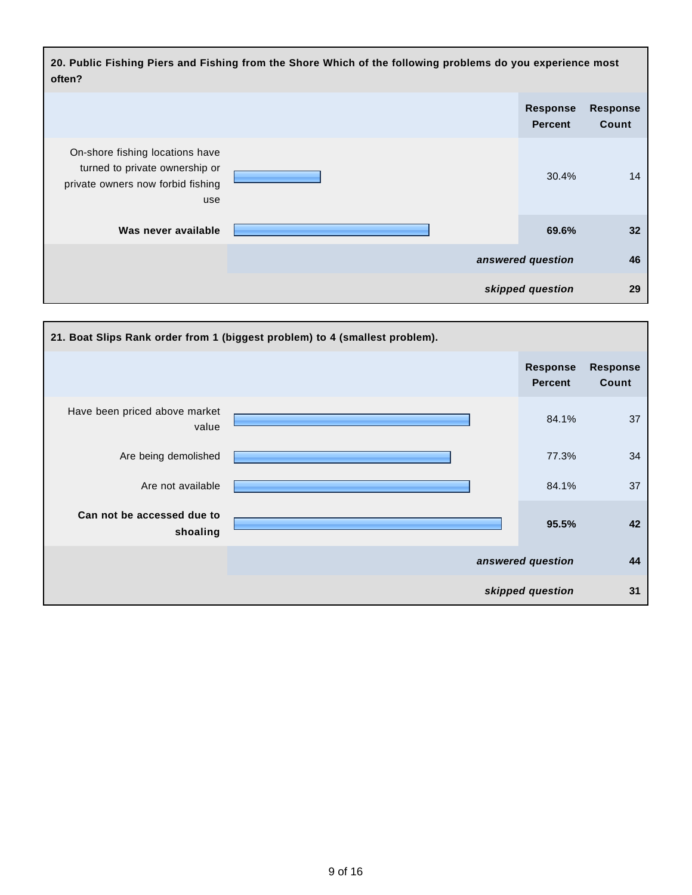**20. Public Fishing Piers and Fishing from the Shore Which of the following problems do you experience most often? Response Percent Response Count** On-shore fishing locations have turned to private ownership or private owners now forbid fishing use 30.4% 14 **Was never available 69.6% 32 answered question 46 skipped question 29**

|                                        | 21. Boat Slips Rank order from 1 (biggest problem) to 4 (smallest problem). |                                   |                          |
|----------------------------------------|-----------------------------------------------------------------------------|-----------------------------------|--------------------------|
|                                        |                                                                             | <b>Response</b><br><b>Percent</b> | <b>Response</b><br>Count |
| Have been priced above market<br>value |                                                                             | 84.1%                             | 37                       |
| Are being demolished                   |                                                                             | 77.3%                             | 34                       |
| Are not available                      |                                                                             | 84.1%                             | 37                       |
| Can not be accessed due to<br>shoaling |                                                                             | 95.5%                             | 42                       |
|                                        |                                                                             | answered question                 | 44                       |
|                                        |                                                                             | skipped question                  | 31                       |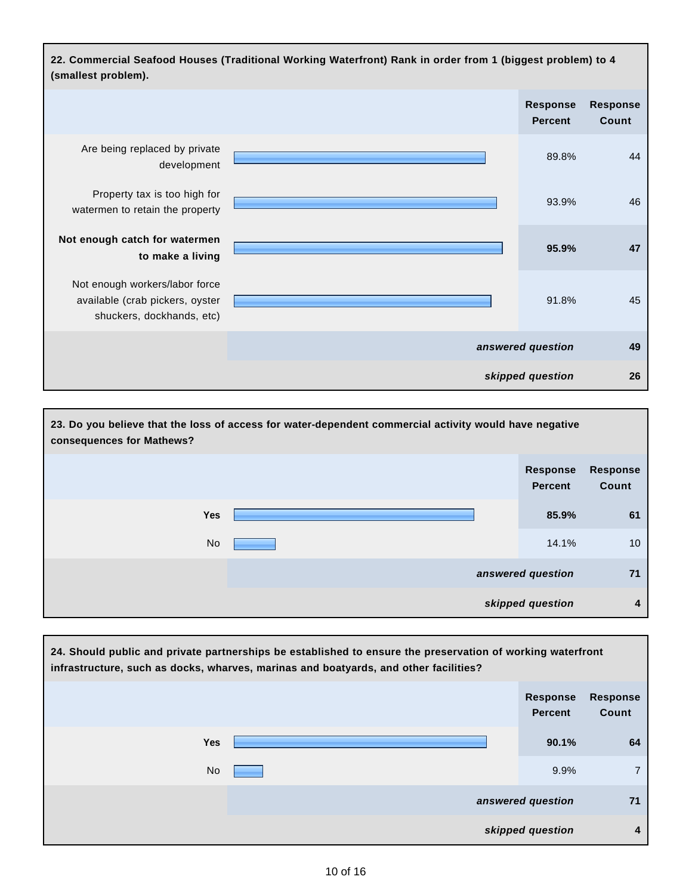

| 23. Do you believe that the loss of access for water-dependent commercial activity would have negative<br>consequences for Mathews? |                                   |                          |  |  |
|-------------------------------------------------------------------------------------------------------------------------------------|-----------------------------------|--------------------------|--|--|
|                                                                                                                                     | <b>Response</b><br><b>Percent</b> | <b>Response</b><br>Count |  |  |
| <b>Yes</b>                                                                                                                          | 85.9%                             | 61                       |  |  |
| <b>No</b>                                                                                                                           | 14.1%                             | 10 <sup>°</sup>          |  |  |
|                                                                                                                                     | answered question                 | 71                       |  |  |
|                                                                                                                                     | skipped question                  | 4                        |  |  |

|           | 24. Should public and private partnerships be established to ensure the preservation of working waterfront<br>infrastructure, such as docks, wharves, marinas and boatyards, and other facilities? |                                   |                          |
|-----------|----------------------------------------------------------------------------------------------------------------------------------------------------------------------------------------------------|-----------------------------------|--------------------------|
|           |                                                                                                                                                                                                    | <b>Response</b><br><b>Percent</b> | <b>Response</b><br>Count |
| Yes       |                                                                                                                                                                                                    | 90.1%                             | 64                       |
| <b>No</b> |                                                                                                                                                                                                    | 9.9%                              | $\overline{7}$           |
|           |                                                                                                                                                                                                    | answered question                 | 71                       |
|           |                                                                                                                                                                                                    | skipped question                  | 4                        |

Г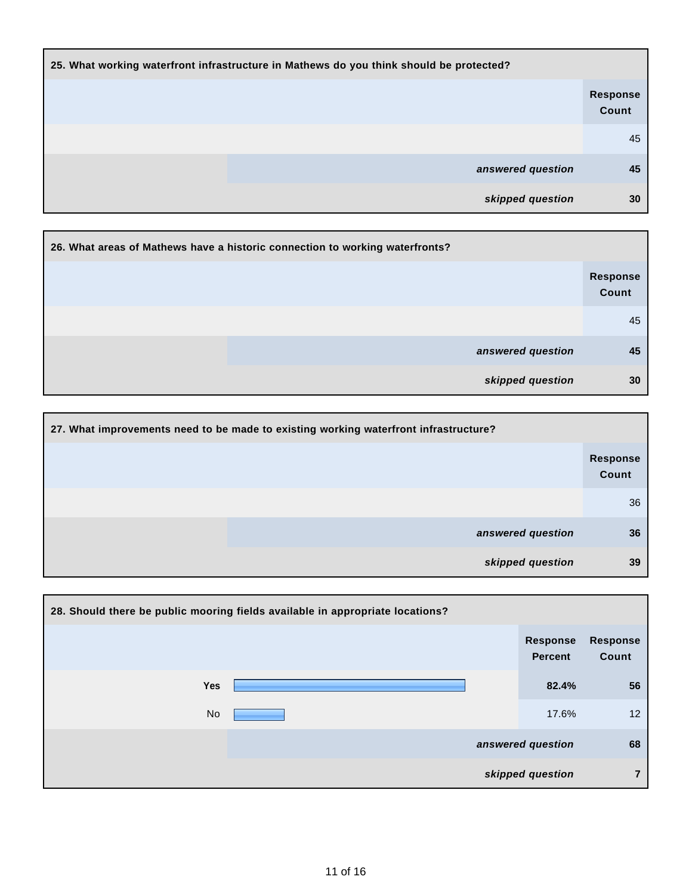| 25. What working waterfront infrastructure in Mathews do you think should be protected? |                          |  |
|-----------------------------------------------------------------------------------------|--------------------------|--|
|                                                                                         | <b>Response</b><br>Count |  |
|                                                                                         | 45                       |  |
| answered question                                                                       | 45                       |  |
| skipped question                                                                        | 30                       |  |

| 26. What areas of Mathews have a historic connection to working waterfronts? |                          |
|------------------------------------------------------------------------------|--------------------------|
|                                                                              | <b>Response</b><br>Count |
|                                                                              | 45                       |
| answered question                                                            | 45                       |
| skipped question                                                             | 30                       |

| 27. What improvements need to be made to existing working waterfront infrastructure? |                   |                          |
|--------------------------------------------------------------------------------------|-------------------|--------------------------|
|                                                                                      |                   | <b>Response</b><br>Count |
|                                                                                      |                   | 36                       |
|                                                                                      | answered question | 36                       |
|                                                                                      | skipped question  | 39                       |

|           | 28. Should there be public mooring fields available in appropriate locations? |                                   |                          |
|-----------|-------------------------------------------------------------------------------|-----------------------------------|--------------------------|
|           |                                                                               | <b>Response</b><br><b>Percent</b> | <b>Response</b><br>Count |
| Yes       |                                                                               | 82.4%                             | 56                       |
| <b>No</b> |                                                                               | 17.6%                             | 12 <sup>°</sup>          |
|           |                                                                               | answered question                 | 68                       |
|           |                                                                               | skipped question                  | 7                        |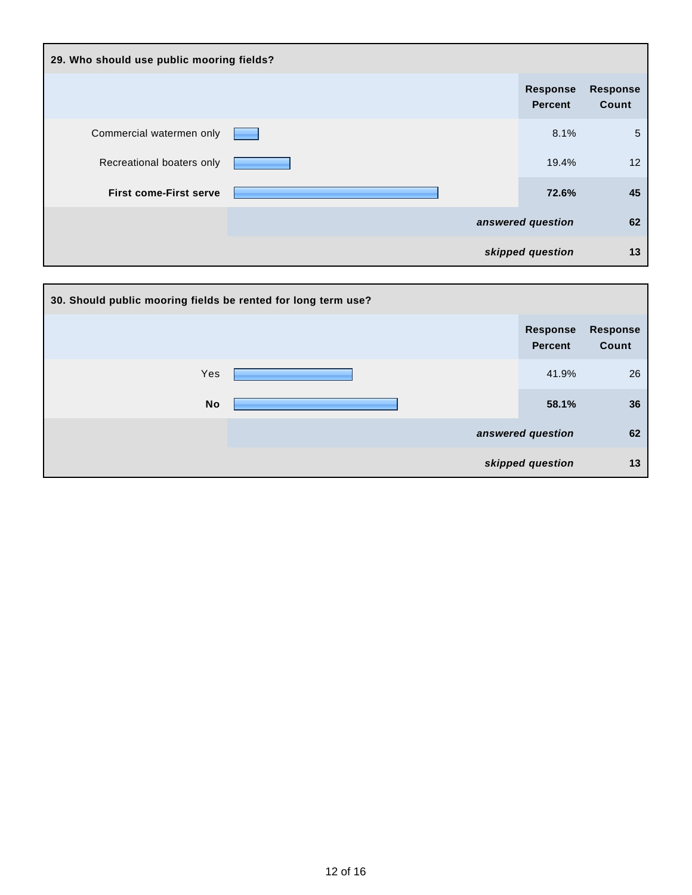| 29. Who should use public mooring fields? |  |                                   |                          |
|-------------------------------------------|--|-----------------------------------|--------------------------|
|                                           |  | <b>Response</b><br><b>Percent</b> | <b>Response</b><br>Count |
| Commercial watermen only                  |  | 8.1%                              | 5                        |
| Recreational boaters only                 |  | 19.4%                             | 12                       |
| <b>First come-First serve</b>             |  | 72.6%                             | 45                       |
|                                           |  | answered question                 | 62                       |
|                                           |  | skipped question                  | 13                       |

| 30. Should public mooring fields be rented for long term use? |                                   |                          |
|---------------------------------------------------------------|-----------------------------------|--------------------------|
|                                                               | <b>Response</b><br><b>Percent</b> | <b>Response</b><br>Count |
| Yes                                                           | 41.9%                             | 26                       |
| <b>No</b>                                                     | 58.1%                             | 36                       |
|                                                               | answered question                 | 62                       |
|                                                               | skipped question                  | 13                       |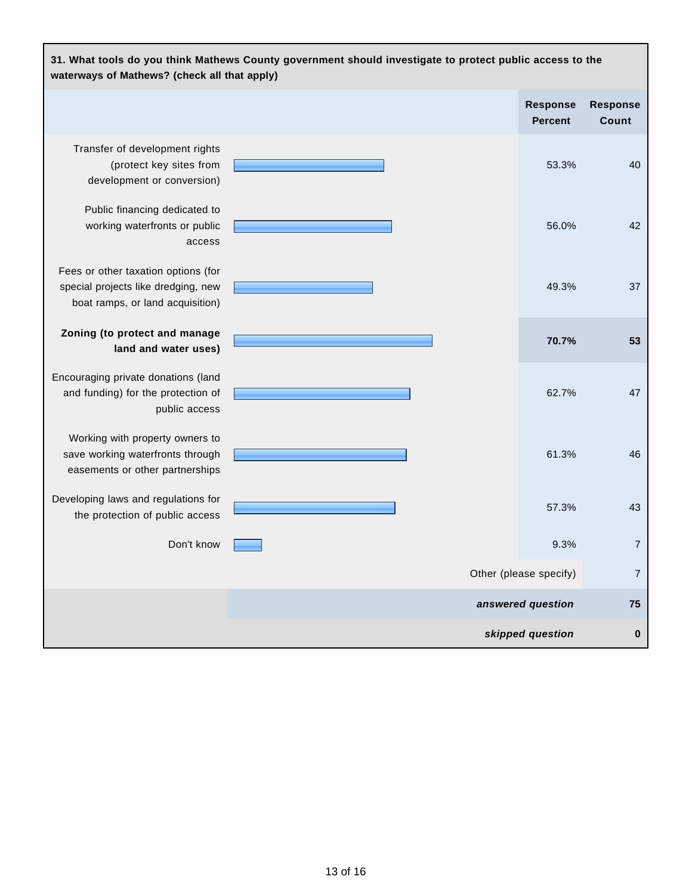| 31. What tools do you think Mathews County government should investigate to protect public access to the<br>waterways of Mathews? (check all that apply) |  |                                   |                                 |
|----------------------------------------------------------------------------------------------------------------------------------------------------------|--|-----------------------------------|---------------------------------|
|                                                                                                                                                          |  | <b>Response</b><br><b>Percent</b> | <b>Response</b><br><b>Count</b> |
| Transfer of development rights<br>(protect key sites from<br>development or conversion)                                                                  |  | 53.3%                             | 40                              |
| Public financing dedicated to<br>working waterfronts or public<br>access                                                                                 |  | 56.0%                             | 42                              |
| Fees or other taxation options (for<br>special projects like dredging, new<br>boat ramps, or land acquisition)                                           |  | 49.3%                             | 37                              |
| Zoning (to protect and manage<br>land and water uses)                                                                                                    |  | 70.7%                             | 53                              |
| Encouraging private donations (land<br>and funding) for the protection of<br>public access                                                               |  | 62.7%                             | 47                              |
| Working with property owners to<br>save working waterfronts through<br>easements or other partnerships                                                   |  | 61.3%                             | 46                              |
| Developing laws and regulations for<br>the protection of public access                                                                                   |  | 57.3%                             | 43                              |
| Don't know                                                                                                                                               |  | 9.3%                              | 7                               |
|                                                                                                                                                          |  | Other (please specify)            | $\overline{7}$                  |
|                                                                                                                                                          |  | answered question                 | 75                              |
|                                                                                                                                                          |  | skipped question                  | $\pmb{0}$                       |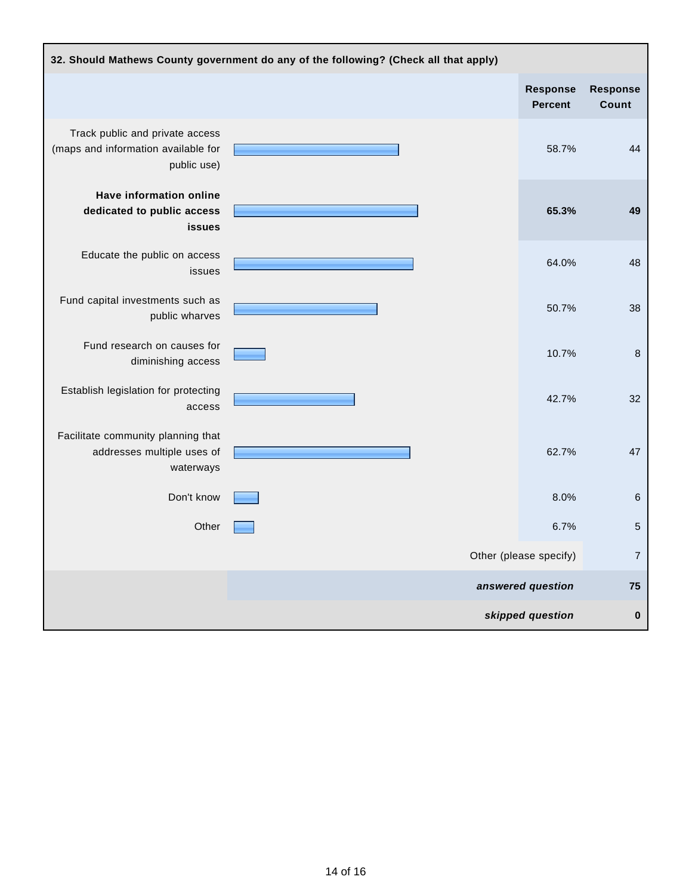| 32. Should Mathews County government do any of the following? (Check all that apply)  |  |                                   |                          |
|---------------------------------------------------------------------------------------|--|-----------------------------------|--------------------------|
|                                                                                       |  | <b>Response</b><br><b>Percent</b> | <b>Response</b><br>Count |
| Track public and private access<br>(maps and information available for<br>public use) |  | 58.7%                             | 44                       |
| <b>Have information online</b><br>dedicated to public access<br><b>issues</b>         |  | 65.3%                             | 49                       |
| Educate the public on access<br>issues                                                |  | 64.0%                             | 48                       |
| Fund capital investments such as<br>public wharves                                    |  | 50.7%                             | 38                       |
| Fund research on causes for<br>diminishing access                                     |  | 10.7%                             | $\bf 8$                  |
| Establish legislation for protecting<br>access                                        |  | 42.7%                             | 32                       |
| Facilitate community planning that<br>addresses multiple uses of<br>waterways         |  | 62.7%                             | 47                       |
| Don't know                                                                            |  | 8.0%                              | 6                        |
| Other                                                                                 |  | 6.7%                              | 5                        |
|                                                                                       |  | Other (please specify)            | $\overline{7}$           |
|                                                                                       |  | answered question                 | 75                       |
|                                                                                       |  | skipped question                  | $\bf{0}$                 |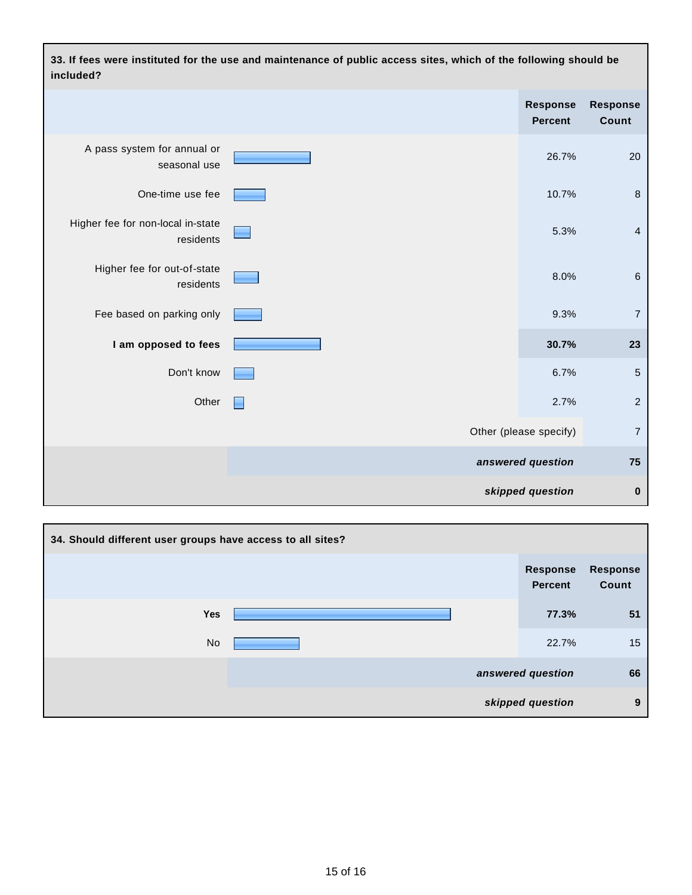**33. If fees were instituted for the use and maintenance of public access sites, which of the following should be included? Response Percent Response Count** A pass system for annual or seasonal use 26.7% 20 One-time use fee **10.7%** 8 Higher fee for non-local in-state residents 5.3% 4 Higher fee for out-of-state residents 8.0% 6 Fee based on parking only 9.3% 7 **1** am opposed to fees **123 123** Don't know 6.7% 5 Other  $\Box$ Other (please specify) 7 **answered question 75 skipped question 0**

| 34. Should different user groups have access to all sites? |  |                                   |                          |
|------------------------------------------------------------|--|-----------------------------------|--------------------------|
|                                                            |  | <b>Response</b><br><b>Percent</b> | <b>Response</b><br>Count |
| <b>Yes</b>                                                 |  | 77.3%                             | 51                       |
| <b>No</b>                                                  |  | 22.7%                             | 15                       |
|                                                            |  | answered question                 | 66                       |
|                                                            |  | skipped question                  | 9                        |